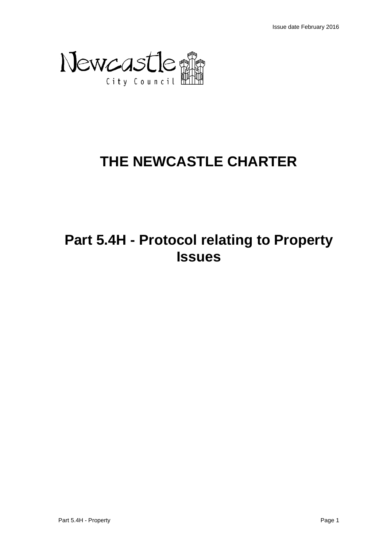

# **THE NEWCASTLE CHARTER**

# **Part 5.4H - Protocol relating to Property Issues**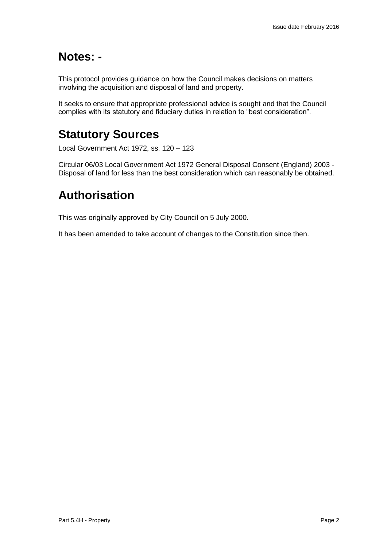## **Notes: -**

This protocol provides guidance on how the Council makes decisions on matters involving the acquisition and disposal of land and property.

It seeks to ensure that appropriate professional advice is sought and that the Council complies with its statutory and fiduciary duties in relation to "best consideration".

# **Statutory Sources**

Local Government Act 1972, ss. 120 – 123

Circular 06/03 Local Government Act 1972 General Disposal Consent (England) 2003 - Disposal of land for less than the best consideration which can reasonably be obtained.

## **Authorisation**

This was originally approved by City Council on 5 July 2000.

It has been amended to take account of changes to the Constitution since then.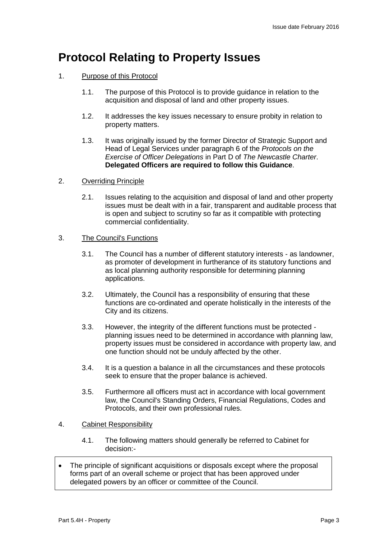## **Protocol Relating to Property Issues**

- 1. Purpose of this Protocol
	- 1.1. The purpose of this Protocol is to provide guidance in relation to the acquisition and disposal of land and other property issues.
	- 1.2. It addresses the key issues necessary to ensure probity in relation to property matters.
	- 1.3. It was originally issued by the former Director of Strategic Support and Head of Legal Services under paragraph 6 of the *Protocols on the Exercise of Officer Delegations* in Part D of *The Newcastle Charter*. **Delegated Officers are required to follow this Guidance**.

#### 2. Overriding Principle

2.1. Issues relating to the acquisition and disposal of land and other property issues must be dealt with in a fair, transparent and auditable process that is open and subject to scrutiny so far as it compatible with protecting commercial confidentiality.

#### 3. The Council's Functions

- 3.1. The Council has a number of different statutory interests as landowner, as promoter of development in furtherance of its statutory functions and as local planning authority responsible for determining planning applications.
- 3.2. Ultimately, the Council has a responsibility of ensuring that these functions are co-ordinated and operate holistically in the interests of the City and its citizens.
- 3.3. However, the integrity of the different functions must be protected planning issues need to be determined in accordance with planning law, property issues must be considered in accordance with property law, and one function should not be unduly affected by the other.
- 3.4. It is a question a balance in all the circumstances and these protocols seek to ensure that the proper balance is achieved.
- 3.5. Furthermore all officers must act in accordance with local government law, the Council's Standing Orders, Financial Regulations, Codes and Protocols, and their own professional rules.

#### 4. Cabinet Responsibility

- 4.1. The following matters should generally be referred to Cabinet for decision:-
- The principle of significant acquisitions or disposals except where the proposal forms part of an overall scheme or project that has been approved under delegated powers by an officer or committee of the Council.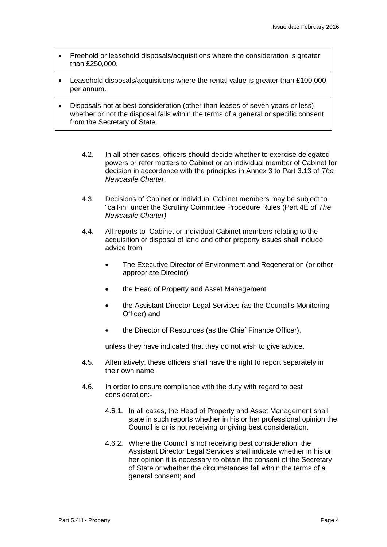- Freehold or leasehold disposals/acquisitions where the consideration is greater than £250,000.
- Leasehold disposals/acquisitions where the rental value is greater than £100,000 per annum.
- Disposals not at best consideration (other than leases of seven years or less) whether or not the disposal falls within the terms of a general or specific consent from the Secretary of State.
	- 4.2. In all other cases, officers should decide whether to exercise delegated powers or refer matters to Cabinet or an individual member of Cabinet for decision in accordance with the principles in Annex 3 to Part 3.13 of *The Newcastle Charter*.
	- 4.3. Decisions of Cabinet or individual Cabinet members may be subject to "call-in" under the Scrutiny Committee Procedure Rules (Part 4E of *The Newcastle Charter)*
	- 4.4. All reports to Cabinet or individual Cabinet members relating to the acquisition or disposal of land and other property issues shall include advice from
		- The Executive Director of Environment and Regeneration (or other appropriate Director)
		- the Head of Property and Asset Management
		- the Assistant Director Legal Services (as the Council's Monitoring Officer) and
		- the Director of Resources (as the Chief Finance Officer),

unless they have indicated that they do not wish to give advice.

- 4.5. Alternatively, these officers shall have the right to report separately in their own name.
- 4.6. In order to ensure compliance with the duty with regard to best consideration:-
	- 4.6.1. In all cases, the Head of Property and Asset Management shall state in such reports whether in his or her professional opinion the Council is or is not receiving or giving best consideration.
	- 4.6.2. Where the Council is not receiving best consideration, the Assistant Director Legal Services shall indicate whether in his or her opinion it is necessary to obtain the consent of the Secretary of State or whether the circumstances fall within the terms of a general consent; and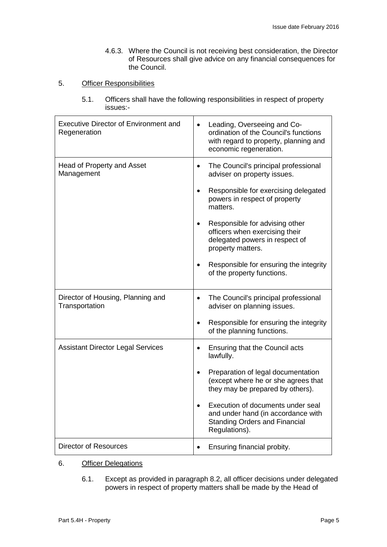4.6.3. Where the Council is not receiving best consideration, the Director of Resources shall give advice on any financial consequences for the Council.

#### 5. Officer Responsibilities

5.1. Officers shall have the following responsibilities in respect of property issues:-

| <b>Executive Director of Environment and</b><br>Regeneration | Leading, Overseeing and Co-<br>$\bullet$<br>ordination of the Council's functions<br>with regard to property, planning and<br>economic regeneration. |
|--------------------------------------------------------------|------------------------------------------------------------------------------------------------------------------------------------------------------|
| <b>Head of Property and Asset</b><br>Management              | The Council's principal professional<br>adviser on property issues.                                                                                  |
|                                                              | Responsible for exercising delegated<br>powers in respect of property<br>matters.                                                                    |
|                                                              | Responsible for advising other<br>officers when exercising their<br>delegated powers in respect of<br>property matters.                              |
|                                                              | Responsible for ensuring the integrity<br>of the property functions.                                                                                 |
| Director of Housing, Planning and<br>Transportation          | The Council's principal professional<br>adviser on planning issues.                                                                                  |
|                                                              | Responsible for ensuring the integrity<br>of the planning functions.                                                                                 |
| <b>Assistant Director Legal Services</b>                     | <b>Ensuring that the Council acts</b><br>lawfully.                                                                                                   |
|                                                              | Preparation of legal documentation<br>(except where he or she agrees that<br>they may be prepared by others).                                        |
|                                                              | Execution of documents under seal<br>and under hand (in accordance with<br><b>Standing Orders and Financial</b><br>Regulations).                     |
| <b>Director of Resources</b>                                 | Ensuring financial probity.                                                                                                                          |

#### 6. Officer Delegations

6.1. Except as provided in paragraph 8.2, all officer decisions under delegated powers in respect of property matters shall be made by the Head of